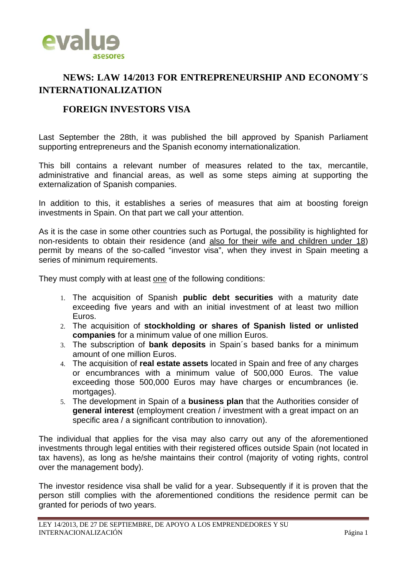

## **NEWS: LAW 14/2013 FOR ENTREPRENEURSHIP AND ECONOMY´S INTERNATIONALIZATION**

## **FOREIGN INVESTORS VISA**

Last September the 28th, it was published the bill approved by Spanish Parliament supporting entrepreneurs and the Spanish economy internationalization.

This bill contains a relevant number of measures related to the tax, mercantile, administrative and financial areas, as well as some steps aiming at supporting the externalization of Spanish companies.

In addition to this, it establishes a series of measures that aim at boosting foreign investments in Spain. On that part we call your attention.

As it is the case in some other countries such as Portugal, the possibility is highlighted for non-residents to obtain their residence (and also for their wife and children under 18) permit by means of the so-called "investor visa", when they invest in Spain meeting a series of minimum requirements.

They must comply with at least one of the following conditions:

- 1. The acquisition of Spanish **public debt securities** with a maturity date exceeding five years and with an initial investment of at least two million Euros.
- 2. The acquisition of **stockholding or shares of Spanish listed or unlisted companies** for a minimum value of one million Euros.
- 3. The subscription of **bank deposits** in Spain´s based banks for a minimum amount of one million Euros.
- 4. The acquisition of **real estate assets** located in Spain and free of any charges or encumbrances with a minimum value of 500,000 Euros. The value exceeding those 500,000 Euros may have charges or encumbrances (ie. mortgages).
- 5. The development in Spain of a **business plan** that the Authorities consider of **general interest** (employment creation / investment with a great impact on an specific area / a significant contribution to innovation).

The individual that applies for the visa may also carry out any of the aforementioned investments through legal entities with their registered offices outside Spain (not located in tax havens), as long as he/she maintains their control (majority of voting rights, control over the management body).

The investor residence visa shall be valid for a year. Subsequently if it is proven that the person still complies with the aforementioned conditions the residence permit can be granted for periods of two years.